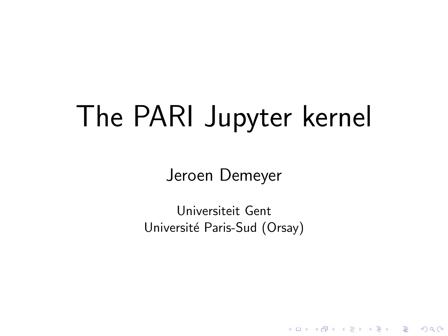# The PARI Jupyter kernel

Jeroen Demeyer

Universiteit Gent Université Paris-Sud (Orsay)

K ロ ▶ K @ ▶ K 할 > K 할 > 1 할 > 1 이익어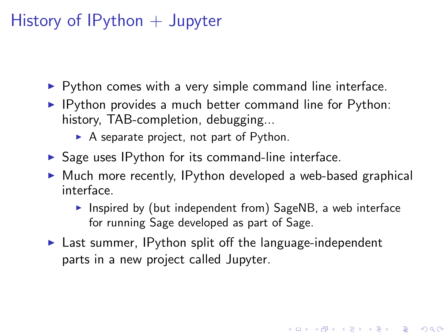# History of  $IP$ ython  $+$  Jupyter

- $\triangleright$  Python comes with a very simple command line interface.
- $\blacktriangleright$  IPython provides a much better command line for Python: history, TAB-completion, debugging...
	- $\triangleright$  A separate project, not part of Python.
- $\triangleright$  Sage uses IPython for its command-line interface.
- $\triangleright$  Much more recently, IPython developed a web-based graphical interface.
	- Inspired by (but independent from) SageNB, a web interface for running Sage developed as part of Sage.

**K ロ ▶ K @ ▶ K 할 X X 할 X → 할 X → 9 Q Q ^** 

 $\blacktriangleright$  Last summer, IPython split off the language-independent parts in a new project called Jupyter.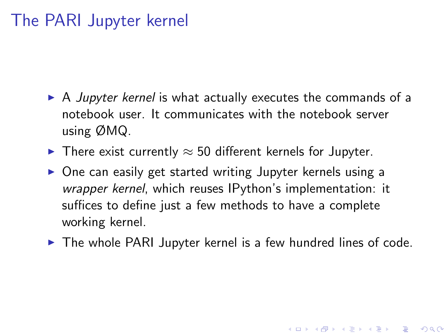### The PARI Jupyter kernel

- $\triangleright$  A *Jupyter kernel* is what actually executes the commands of a notebook user. It communicates with the notebook server using ØMQ.
- $\triangleright$  There exist currently  $\approx$  50 different kernels for Jupyter.
- $\triangleright$  One can easily get started writing Jupyter kernels using a wrapper kernel, which reuses IPython's implementation: it suffices to define just a few methods to have a complete working kernel.
- $\triangleright$  The whole PARI Jupyter kernel is a few hundred lines of code.

**KORK ERKER ADE YOUR**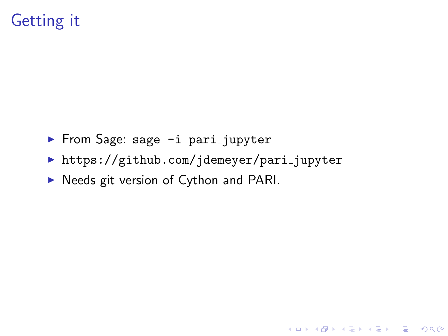# Getting it

- From Sage: sage -i pari\_jupyter
- https://github.com/jdemeyer/pari\_jupyter

K ロ ▶ K @ ▶ K 할 ▶ K 할 ▶ ... 할 → 9 Q @

Needs git version of Cython and PARI.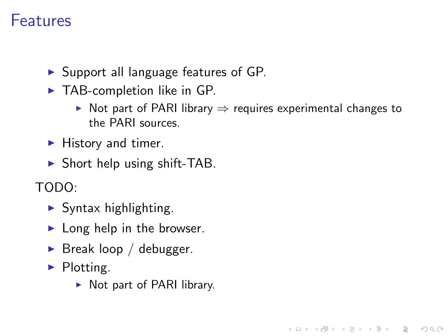#### Features

- $\triangleright$  Support all language features of GP.
- $\blacktriangleright$  TAB-completion like in GP.
	- In Not part of PARI library  $\Rightarrow$  requires experimental changes to the PARI sources.

K ロ ▶ K @ ▶ K 할 ▶ K 할 ▶ 이 할 → 9 Q @

- $\blacktriangleright$  History and timer.
- $\triangleright$  Short help using shift-TAB.

TODO:

- $\blacktriangleright$  Syntax highlighting.
- $\blacktriangleright$  Long help in the browser.
- $\blacktriangleright$  Break loop / debugger.
- $\blacktriangleright$  Plotting.
	- $\triangleright$  Not part of PARI library.